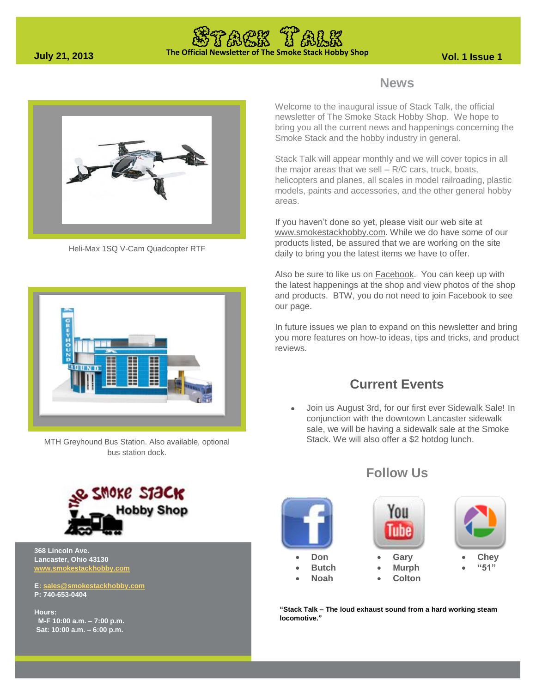## **The Official Newsletter of The Smoke Stack Hobby Shop July 21, 2013 Vol. 1 Issue 1**



Heli-Max 1SQ V-Cam Quadcopter RTF



MTH Greyhound Bus Station. Also available, optional bus station dock.



**368 Lincoln Ave. Lancaster, Ohio 43130 [www.smokestackhobby.com](http://www.smokestackhobby.com/)**

**E[: sales@smokestackhobby.com](mailto:sales@smokestackhobby.com) P: 740-653-0404**

**Hours: M-F 10:00 a.m. – 7:00 p.m. Sat: 10:00 a.m. – 6:00 p.m.**

### **News**

Welcome to the inaugural issue of Stack Talk, the official newsletter of The Smoke Stack Hobby Shop. We hope to bring you all the current news and happenings concerning the Smoke Stack and the hobby industry in general.

Stack Talk will appear monthly and we will cover topics in all the major areas that we sell – R/C cars, truck, boats, helicopters and planes, all scales in model railroading, plastic models, paints and accessories, and the other general hobby areas.

If you haven't done so yet, please visit our web site at [www.smokestackhobby.com.](http://www.smokestackhobby.com/) While we do have some of our products listed, be assured that we are working on the site daily to bring you the latest items we have to offer.

Also be sure to like us on **Facebook**. You can keep up with the latest happenings at the shop and view photos of the shop and products. BTW, you do not need to join Facebook to see our page.

In future issues we plan to expand on this newsletter and bring you more features on how-to ideas, tips and tricks, and product reviews.

### **Current Events**

 Join us August 3rd, for our first ever Sidewalk Sale! In conjunction with the downtown Lancaster sidewalk sale, we will be having a sidewalk sale at the Smoke Stack. We will also offer a \$2 hotdog lunch.



### **Follow Us**



**"Stack Talk – The loud exhaust sound from a hard working steam locomotive."**